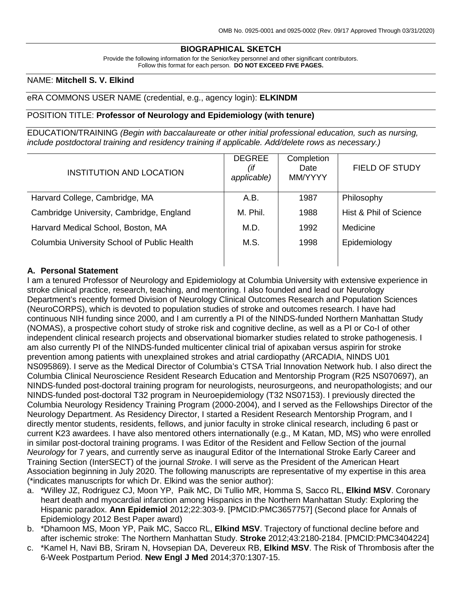# **BIOGRAPHICAL SKETCH**

Provide the following information for the Senior/key personnel and other significant contributors. Follow this format for each person. **DO NOT EXCEED FIVE PAGES.**

### NAME: **Mitchell S. V. Elkind**

### eRA COMMONS USER NAME (credential, e.g., agency login): **ELKINDM**

### POSITION TITLE: **Professor of Neurology and Epidemiology (with tenure)**

EDUCATION/TRAINING *(Begin with baccalaureate or other initial professional education, such as nursing, include postdoctoral training and residency training if applicable. Add/delete rows as necessary.)*

| INSTITUTION AND LOCATION                    | <b>DEGREE</b><br>(if<br>applicable) | Completion<br>Date<br>MM/YYYY | <b>FIELD OF STUDY</b>  |
|---------------------------------------------|-------------------------------------|-------------------------------|------------------------|
| Harvard College, Cambridge, MA              | A.B.                                | 1987                          | Philosophy             |
| Cambridge University, Cambridge, England    | M. Phil.                            | 1988                          | Hist & Phil of Science |
| Harvard Medical School, Boston, MA          | M.D.                                | 1992                          | Medicine               |
| Columbia University School of Public Health | M.S.                                | 1998                          | Epidemiology           |
|                                             |                                     |                               |                        |

### **A. Personal Statement**

I am a tenured Professor of Neurology and Epidemiology at Columbia University with extensive experience in stroke clinical practice, research, teaching, and mentoring. I also founded and lead our Neurology Department's recently formed Division of Neurology Clinical Outcomes Research and Population Sciences (NeuroCORPS), which is devoted to population studies of stroke and outcomes research. I have had continuous NIH funding since 2000, and I am currently a PI of the NINDS-funded Northern Manhattan Study (NOMAS), a prospective cohort study of stroke risk and cognitive decline, as well as a PI or Co-I of other independent clinical research projects and observational biomarker studies related to stroke pathogenesis. I am also currently PI of the NINDS-funded multicenter clinical trial of apixaban versus aspirin for stroke prevention among patients with unexplained strokes and atrial cardiopathy (ARCADIA, NINDS U01 NS095869). I serve as the Medical Director of Columbia's CTSA Trial Innovation Network hub. I also direct the Columbia Clinical Neuroscience Resident Research Education and Mentorship Program (R25 NS070697), an NINDS-funded post-doctoral training program for neurologists, neurosurgeons, and neuropathologists; and our NINDS-funded post-doctoral T32 program in Neuroepidemiology (T32 NS07153). I previously directed the Columbia Neurology Residency Training Program (2000-2004), and I served as the Fellowships Director of the Neurology Department. As Residency Director, I started a Resident Research Mentorship Program, and I directly mentor students, residents, fellows, and junior faculty in stroke clinical research, including 6 past or current K23 awardees. I have also mentored others internationally (e.g., M Katan, MD, MS) who were enrolled in similar post-doctoral training programs. I was Editor of the Resident and Fellow Section of the journal *Neurology* for 7 years, and currently serve as inaugural Editor of the International Stroke Early Career and Training Section (InterSECT) of the journal *Stroke*. I will serve as the President of the American Heart Association beginning in July 2020. The following manuscripts are representative of my expertise in this area (\*indicates manuscripts for which Dr. Elkind was the senior author):

- a. \*Willey JZ, Rodriguez CJ, Moon YP, Paik MC, Di Tullio MR, Homma S, Sacco RL, **Elkind MSV**. Coronary heart death and myocardial infarction among Hispanics in the Northern Manhattan Study: Exploring the Hispanic paradox. **Ann Epidemiol** 2012;22:303-9. [PMCID:PMC3657757] (Second place for Annals of Epidemiology 2012 Best Paper award)
- b. \*Dhamoon MS, Moon YP, Paik MC, Sacco RL, **Elkind MSV**. Trajectory of functional decline before and after ischemic stroke: The Northern Manhattan Study. **Stroke** 2012;43:2180-2184. [PMCID:PMC3404224]
- c. \*Kamel H, Navi BB, Sriram N, Hovsepian DA, Devereux RB, **Elkind MSV**. The Risk of Thrombosis after the 6-Week Postpartum Period. **New Engl J Med** 2014;370:1307-15.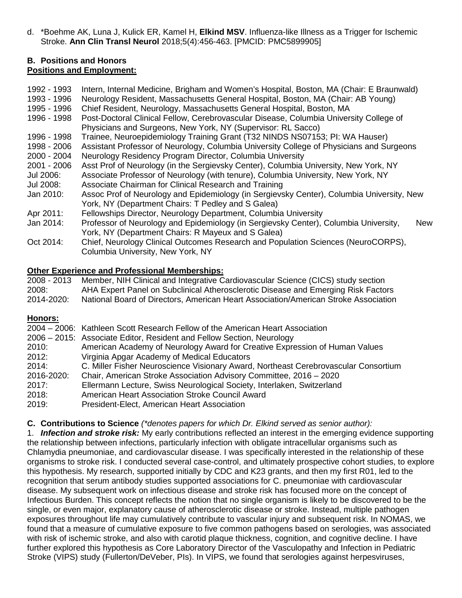d. \*Boehme AK, Luna J, Kulick ER, Kamel H, **Elkind MSV**. Influenza-like Illness as a Trigger for Ischemic Stroke. **Ann Clin Transl Neurol** 2018;5(4):456-463. [PMCID: PMC5899905]

### **B. Positions and Honors Positions and Employment:**

| 1992 - 1993<br>1993 - 1996<br>1995 - 1996 | Intern, Internal Medicine, Brigham and Women's Hospital, Boston, MA (Chair: E Braunwald)<br>Neurology Resident, Massachusetts General Hospital, Boston, MA (Chair: AB Young)<br>Chief Resident, Neurology, Massachusetts General Hospital, Boston, MA |
|-------------------------------------------|-------------------------------------------------------------------------------------------------------------------------------------------------------------------------------------------------------------------------------------------------------|
| 1996 - 1998                               | Post-Doctoral Clinical Fellow, Cerebrovascular Disease, Columbia University College of<br>Physicians and Surgeons, New York, NY (Supervisor: RL Sacco)                                                                                                |
| 1996 - 1998                               | Trainee, Neuroepidemiology Training Grant (T32 NINDS NS07153; PI: WA Hauser)                                                                                                                                                                          |
| 1998 - 2006                               | Assistant Professor of Neurology, Columbia University College of Physicians and Surgeons                                                                                                                                                              |
| 2000 - 2004                               | Neurology Residency Program Director, Columbia University                                                                                                                                                                                             |
| $2001 - 2006$                             | Asst Prof of Neurology (in the Sergievsky Center), Columbia University, New York, NY                                                                                                                                                                  |
| Jul 2006:                                 | Associate Professor of Neurology (with tenure), Columbia University, New York, NY                                                                                                                                                                     |
| Jul 2008:                                 | Associate Chairman for Clinical Research and Training                                                                                                                                                                                                 |
| Jan 2010:                                 | Assoc Prof of Neurology and Epidemiology (in Sergievsky Center), Columbia University, New<br>York, NY (Department Chairs: T Pedley and S Galea)                                                                                                       |
| Apr 2011:                                 | Fellowships Director, Neurology Department, Columbia University                                                                                                                                                                                       |
| Jan 2014:                                 | Professor of Neurology and Epidemiology (in Sergievsky Center), Columbia University,<br><b>New</b><br>York, NY (Department Chairs: R Mayeux and S Galea)                                                                                              |
| Oct 2014:                                 | Chief, Neurology Clinical Outcomes Research and Population Sciences (NeuroCORPS),<br>Columbia University, New York, NY                                                                                                                                |

# **Other Experience and Professional Memberships:**

2008 - 2013 Member, NIH Clinical and Integrative Cardiovascular Science (CICS) study section 2008: AHA Expert Panel on Subclinical Atherosclerotic Disease and Emerging Risk Factors 2014-2020: National Board of Directors, American Heart Association/American Stroke Association

# **Honors:**

|            | 2004 – 2006: Kathleen Scott Research Fellow of the American Heart Association       |
|------------|-------------------------------------------------------------------------------------|
|            | 2006 – 2015: Associate Editor, Resident and Fellow Section, Neurology               |
| 2010:      | American Academy of Neurology Award for Creative Expression of Human Values         |
| 2012:      | Virginia Apgar Academy of Medical Educators                                         |
| 2014:      | C. Miller Fisher Neuroscience Visionary Award, Northeast Cerebrovascular Consortium |
| 2016-2020: | Chair, American Stroke Association Advisory Committee, 2016 - 2020                  |
| 2017:      | Ellermann Lecture, Swiss Neurological Society, Interlaken, Switzerland              |
| 2018:      | American Heart Association Stroke Council Award                                     |
| 2019:      | President-Elect, American Heart Association                                         |

**C. Contributions to Science** *(\*denotes papers for which Dr. Elkind served as senior author):*

1. *Infection and stroke risk:* My early contributions reflected an interest in the emerging evidence supporting the relationship between infections, particularly infection with obligate intracellular organisms such as Chlamydia pneumoniae, and cardiovascular disease. I was specifically interested in the relationship of these organisms to stroke risk. I conducted several case-control, and ultimately prospective cohort studies, to explore this hypothesis. My research, supported initially by CDC and K23 grants, and then my first R01, led to the recognition that serum antibody studies supported associations for C. pneumoniae with cardiovascular disease. My subsequent work on infectious disease and stroke risk has focused more on the concept of Infectious Burden. This concept reflects the notion that no single organism is likely to be discovered to be the single, or even major, explanatory cause of atherosclerotic disease or stroke. Instead, multiple pathogen exposures throughout life may cumulatively contribute to vascular injury and subsequent risk. In NOMAS, we found that a measure of cumulative exposure to five common pathogens based on serologies, was associated with risk of ischemic stroke, and also with carotid plaque thickness, cognition, and cognitive decline. I have further explored this hypothesis as Core Laboratory Director of the Vasculopathy and Infection in Pediatric Stroke (VIPS) study (Fullerton/DeVeber, PIs). In VIPS, we found that serologies against herpesviruses,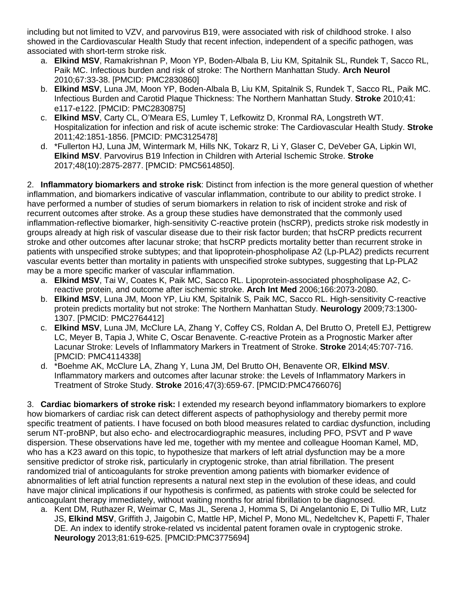including but not limited to VZV, and parvovirus B19, were associated with risk of childhood stroke. I also showed in the Cardiovascular Health Study that recent infection, independent of a specific pathogen, was associated with short-term stroke risk.

- a. **Elkind MSV**, Ramakrishnan P, Moon YP, Boden-Albala B, Liu KM, Spitalnik SL, Rundek T, Sacco RL, Paik MC. Infectious burden and risk of stroke: The Northern Manhattan Study. **Arch Neurol** 2010;67:33-38. [PMCID: PMC2830860]
- b. **Elkind MSV**, Luna JM, Moon YP, Boden-Albala B, Liu KM, Spitalnik S, Rundek T, Sacco RL, Paik MC. Infectious Burden and Carotid Plaque Thickness: The Northern Manhattan Study. **Stroke** 2010;41: e117-e122. [PMCID: PMC2830875]
- c. **Elkind MSV**, Carty CL, O'Meara ES, Lumley T, Lefkowitz D, Kronmal RA, Longstreth WT. Hospitalization for infection and risk of acute ischemic stroke: The Cardiovascular Health Study. **Stroke** 2011;42:1851-1856. [PMCID: PMC3125478]
- d. \*Fullerton HJ, Luna JM, Wintermark M, Hills NK, Tokarz R, Li Y, Glaser C, DeVeber GA, Lipkin WI, **Elkind MSV**. Parvovirus B19 Infection in Children with Arterial Ischemic Stroke. **Stroke** 2017;48(10):2875-2877. [PMCID: PMC5614850].

2. **Inflammatory biomarkers and stroke risk**: Distinct from infection is the more general question of whether inflammation, and biomarkers indicative of vascular inflammation, contribute to our ability to predict stroke. I have performed a number of studies of serum biomarkers in relation to risk of incident stroke and risk of recurrent outcomes after stroke. As a group these studies have demonstrated that the commonly used inflammation-reflective biomarker, high-sensitivity C-reactive protein (hsCRP), predicts stroke risk modestly in groups already at high risk of vascular disease due to their risk factor burden; that hsCRP predicts recurrent stroke and other outcomes after lacunar stroke; that hsCRP predicts mortality better than recurrent stroke in patients with unspecified stroke subtypes; and that lipoprotein-phospholipase A2 (Lp-PLA2) predicts recurrent vascular events better than mortality in patients with unspecified stroke subtypes, suggesting that Lp-PLA2 may be a more specific marker of vascular inflammation.

- a. **Elkind MSV**, Tai W, Coates K, Paik MC, Sacco RL. Lipoprotein-associated phospholipase A2, Creactive protein, and outcome after ischemic stroke. **Arch Int Med** 2006;166:2073-2080.
- b. **Elkind MSV**, Luna JM, Moon YP, Liu KM, Spitalnik S, Paik MC, Sacco RL. High-sensitivity C-reactive protein predicts mortality but not stroke: The Northern Manhattan Study. **Neurology** 2009;73:1300- 1307. [PMCID: PMC2764412]
- c. **Elkind MSV**, Luna JM, McClure LA, Zhang Y, Coffey CS, Roldan A, Del Brutto O, Pretell EJ, Pettigrew LC, Meyer B, Tapia J, White C, Oscar Benavente. C-reactive Protein as a Prognostic Marker after Lacunar Stroke: Levels of Inflammatory Markers in Treatment of Stroke. **Stroke** 2014;45:707-716. [PMCID: PMC4114338]
- d. \*Boehme AK, McClure LA, Zhang Y, Luna JM, Del Brutto OH, Benavente OR, **Elkind MSV**. Inflammatory markers and outcomes after lacunar stroke: the Levels of Inflammatory Markers in Treatment of Stroke Study. **Stroke** 2016;47(3):659-67. [PMCID:PMC4766076]

3. **Cardiac biomarkers of stroke risk:** I extended my research beyond inflammatory biomarkers to explore how biomarkers of cardiac risk can detect different aspects of pathophysiology and thereby permit more specific treatment of patients. I have focused on both blood measures related to cardiac dysfunction, including serum NT-proBNP, but also echo- and electrocardiographic measures, including PFO, PSVT and P wave dispersion. These observations have led me, together with my mentee and colleague Hooman Kamel, MD, who has a K23 award on this topic, to hypothesize that markers of left atrial dysfunction may be a more sensitive predictor of stroke risk, particularly in cryptogenic stroke, than atrial fibrillation. The present randomized trial of anticoagulants for stroke prevention among patients with biomarker evidence of abnormalities of left atrial function represents a natural next step in the evolution of these ideas, and could have major clinical implications if our hypothesis is confirmed, as patients with stroke could be selected for anticoagulant therapy immediately, without waiting months for atrial fibrillation to be diagnosed.

a. Kent DM, Ruthazer R, Weimar C, Mas JL, Serena J, Homma S, Di Angelantonio E, Di Tullio MR, Lutz JS, **Elkind MSV**, Griffith J, Jaigobin C, Mattle HP, Michel P, Mono ML, Nedeltchev K, Papetti F, Thaler DE. An index to identify stroke-related vs incidental patent foramen ovale in cryptogenic stroke. **Neurology** 2013;81:619-625. [PMCID:PMC3775694]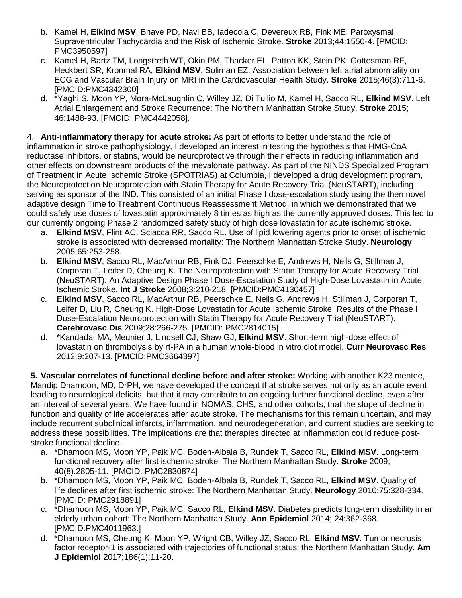- b. Kamel H, **Elkind MSV**, Bhave PD, Navi BB, Iadecola C, Devereux RB, Fink ME. Paroxysmal Supraventricular Tachycardia and the Risk of Ischemic Stroke. **Stroke** 2013;44:1550-4. [PMCID: PMC3950597]
- c. Kamel H, Bartz TM, Longstreth WT, Okin PM, Thacker EL, Patton KK, Stein PK, Gottesman RF, Heckbert SR, Kronmal RA, **Elkind MSV**, Soliman EZ. Association between left atrial abnormality on ECG and Vascular Brain Injury on MRI in the Cardiovascular Health Study. **Stroke** 2015;46(3):711-6. [PMCID:PMC4342300]
- d. \*Yaghi S, Moon YP, Mora-McLaughlin C, Willey JZ, Di Tullio M, Kamel H, Sacco RL, **Elkind MSV**. Left Atrial Enlargement and Stroke Recurrence: The Northern Manhattan Stroke Study. **Stroke** 2015; 46:1488-93. [PMCID: PMC4442058].

4. **Anti-inflammatory therapy for acute stroke:** As part of efforts to better understand the role of inflammation in stroke pathophysiology, I developed an interest in testing the hypothesis that HMG-CoA reductase inhibitors, or statins, would be neuroprotective through their effects in reducing inflammation and other effects on downstream products of the mevalonate pathway. As part of the NINDS Specialized Program of Treatment in Acute Ischemic Stroke (SPOTRIAS) at Columbia, I developed a drug development program, the Neuroprotection Neuroprotection with Statin Therapy for Acute Recovery Trial (NeuSTART), including serving as sponsor of the IND. This consisted of an initial Phase I dose-escalation study using the then novel adaptive design Time to Treatment Continuous Reassessment Method, in which we demonstrated that we could safely use doses of lovastatin approximately 8 times as high as the currently approved doses. This led to our currently ongoing Phase 2 randomized safety study of high dose lovastatin for acute ischemic stroke.

- a. **Elkind MSV**, Flint AC, Sciacca RR, Sacco RL. Use of lipid lowering agents prior to onset of ischemic stroke is associated with decreased mortality: The Northern Manhattan Stroke Study. **Neurology** 2005;65:253-258.
- b. **Elkind MSV**, Sacco RL, MacArthur RB, Fink DJ, Peerschke E, Andrews H, Neils G, Stillman J, Corporan T, Leifer D, Cheung K. The Neuroprotection with Statin Therapy for Acute Recovery Trial (NeuSTART): An Adaptive Design Phase I Dose-Escalation Study of High-Dose Lovastatin in Acute Ischemic Stroke. **Int J Stroke** 2008;3:210-218. [PMCID:PMC4130457]
- c. **Elkind MSV**, Sacco RL, MacArthur RB, Peerschke E, Neils G, Andrews H, Stillman J, Corporan T, Leifer D, Liu R, Cheung K. High-Dose Lovastatin for Acute Ischemic Stroke: Results of the Phase I Dose-Escalation Neuroprotection with Statin Therapy for Acute Recovery Trial (NeuSTART). **Cerebrovasc Dis** 2009;28:266-275. [PMCID: PMC2814015]
- d. \*Kandadai MA, Meunier J, Lindsell CJ, Shaw GJ, **Elkind MSV**. Short-term high-dose effect of lovastatin on thrombolysis by rt-PA in a human whole-blood in vitro clot model. **Curr Neurovasc Res** 2012;9:207-13. [PMCID:PMC3664397]

**5. Vascular correlates of functional decline before and after stroke:** Working with another K23 mentee, Mandip Dhamoon, MD, DrPH, we have developed the concept that stroke serves not only as an acute event leading to neurological deficits, but that it may contribute to an ongoing further functional decline, even after an interval of several years. We have found in NOMAS, CHS, and other cohorts, that the slope of decline in function and quality of life accelerates after acute stroke. The mechanisms for this remain uncertain, and may include recurrent subclinical infarcts, inflammation, and neurodegeneration, and current studies are seeking to address these possibilities. The implications are that therapies directed at inflammation could reduce poststroke functional decline.

- a. \*Dhamoon MS, Moon YP, Paik MC, Boden-Albala B, Rundek T, Sacco RL, **Elkind MSV**. Long-term functional recovery after first ischemic stroke: The Northern Manhattan Study. **Stroke** 2009; 40(8):2805-11. [PMCID: PMC2830874]
- b. \*Dhamoon MS, Moon YP, Paik MC, Boden-Albala B, Rundek T, Sacco RL, **Elkind MSV**. Quality of life declines after first ischemic stroke: The Northern Manhattan Study. **Neurology** 2010;75:328-334. [PMCID: PMC2918891]
- c. \*Dhamoon MS, Moon YP, Paik MC, Sacco RL, **Elkind MSV**. Diabetes predicts long-term disability in an elderly urban cohort: The Northern Manhattan Study. **Ann Epidemiol** 2014; 24:362-368. [PMCID:PMC4011963.]
- d. \*Dhamoon MS, Cheung K, Moon YP, Wright CB, Willey JZ, Sacco RL, **Elkind MSV**. Tumor necrosis factor receptor-1 is associated with trajectories of functional status: the Northern Manhattan Study. **Am J Epidemiol** 2017;186(1):11-20.